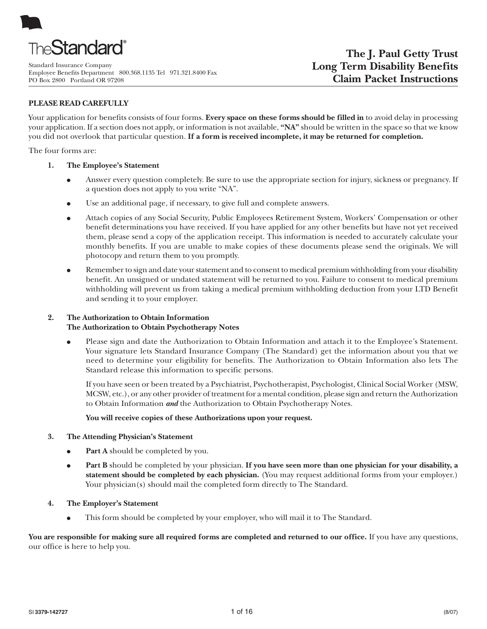

Standard Insurance Company Employee Benefits Department 800.368.1135 Tel 971.321.8400 Fax PO Box 2800 Portland OR 97208

# **PLEASE READ CAREFULLY**

Your application for benefits consists of four forms. **Every space on these forms should be filled in** to avoid delay in processing your application. If a section does not apply, or information is not available, **"NA"** should be written in the space so that we know you did not overlook that particular question. **If a form is received incomplete, it may be returned for completion.**

The four forms are:

- **1. The Employee's Statement**
	- Answer every question completely. Be sure to use the appropriate section for injury, sickness or pregnancy. If a question does not apply to you write "NA".
	- Use an additional page, if necessary, to give full and complete answers.
	- Attach copies of any Social Security, Public Employees Retirement System, Workers' Compensation or other benefit determinations you have received. If you have applied for any other benefits but have not yet received them, please send a copy of the application receipt. This information is needed to accurately calculate your monthly benefits. If you are unable to make copies of these documents please send the originals. We will photocopy and return them to you promptly.
	- Remember to sign and date your statement and to consent to medical premium withholding from your disability benefit. An unsigned or undated statement will be returned to you. Failure to consent to medical premium withholding will prevent us from taking a medical premium withholding deduction from your LTD Benefit and sending it to your employer.

# **2. The Authorization to Obtain Information The Authorization to Obtain Psychotherapy Notes**

• Please sign and date the Authorization to Obtain Information and attach it to the Employee's Statement. Your signature lets Standard Insurance Company (The Standard) get the information about you that we need to determine your eligibility for benefits. The Authorization to Obtain Information also lets The Standard release this information to specific persons.

If you have seen or been treated by a Psychiatrist, Psychotherapist, Psychologist, Clinical Social Worker (MSW, MCSW, etc.), or any other provider of treatment for a mental condition, please sign and return the Authorization to Obtain Information *and* the Authorization to Obtain Psychotherapy Notes.

## **You will receive copies of these Authorizations upon your request.**

## **3. The Attending Physician's Statement**

- **Part A** should be completed by you.
- **• Part B** should be completed by your physician. If you have seen more than one physician for your disability, a **statement should be completed by each physician.** (You may request additional forms from your employer.) Your physician(s) should mail the completed form directly to The Standard.
- **4. The Employer's Statement**
	- This form should be completed by your employer, who will mail it to The Standard.

You are responsible for making sure all required forms are completed and returned to our office. If you have any questions, our office is here to help you.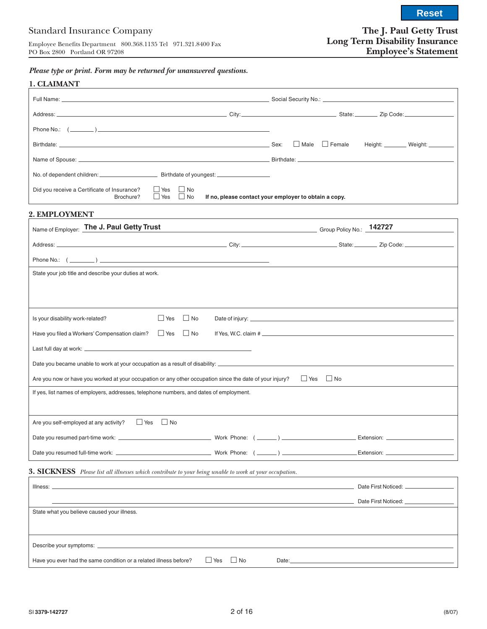# Standard Insurance Company

Employee Benefits Department 800.368.1135 Tel 971.321.8400 Fax PO Box 2800 Portland OR 97208

# **The J. Paul Getty Trust Long Term Disability Insurance Employee's Statement**

**Reset**

*Please type or print. Form may be returned for unanswered questions.*

|                                                                                                          |                          |                        |                                                                                                                                                                                                                                |  | $\Box$ Male $\Box$ Female |                                      | Height: Weight: ___________ Weight: |
|----------------------------------------------------------------------------------------------------------|--------------------------|------------------------|--------------------------------------------------------------------------------------------------------------------------------------------------------------------------------------------------------------------------------|--|---------------------------|--------------------------------------|-------------------------------------|
|                                                                                                          |                          |                        |                                                                                                                                                                                                                                |  |                           |                                      |                                     |
|                                                                                                          |                          |                        |                                                                                                                                                                                                                                |  |                           |                                      |                                     |
| Did you receive a Certificate of Insurance?<br>Brochure?                                                 | $\Box$ Yes<br>$\Box$ Yes | $\Box$ No<br>$\Box$ No | If no, please contact your employer to obtain a copy.                                                                                                                                                                          |  |                           |                                      |                                     |
| 2. EMPLOYMENT                                                                                            |                          |                        | the control of the control of the control of the control of the control of the control of the control of the control of the control of the control of the control of the control of the control of the control of the control  |  |                           |                                      |                                     |
| Name of Employer: The J. Paul Getty Trust                                                                |                          |                        | Call Company of Canada Company Company Company Company Company Company Company Company Company Company Company Company Company Company Company Company Company Company Company Company Company Company Company Company Company |  |                           |                                      |                                     |
|                                                                                                          |                          |                        |                                                                                                                                                                                                                                |  |                           |                                      |                                     |
|                                                                                                          |                          |                        |                                                                                                                                                                                                                                |  |                           |                                      |                                     |
| State your job title and describe your duties at work.                                                   |                          |                        |                                                                                                                                                                                                                                |  |                           |                                      |                                     |
|                                                                                                          |                          |                        |                                                                                                                                                                                                                                |  |                           |                                      |                                     |
|                                                                                                          |                          |                        |                                                                                                                                                                                                                                |  |                           |                                      |                                     |
| Is your disability work-related?                                                                         | $\Box$ Yes               | $\Box$ No              |                                                                                                                                                                                                                                |  |                           |                                      |                                     |
| Have you filed a Workers' Compensation claim?                                                            | $\Box$ Yes               | $\blacksquare$ No      |                                                                                                                                                                                                                                |  |                           |                                      |                                     |
|                                                                                                          |                          |                        |                                                                                                                                                                                                                                |  |                           |                                      |                                     |
|                                                                                                          |                          |                        |                                                                                                                                                                                                                                |  |                           |                                      |                                     |
| Are you now or have you worked at your occupation or any other occupation since the date of your injury? |                          |                        |                                                                                                                                                                                                                                |  | $\Box$ Yes $\Box$ No      |                                      |                                     |
|                                                                                                          |                          |                        |                                                                                                                                                                                                                                |  |                           |                                      |                                     |
| If yes, list names of employers, addresses, telephone numbers, and dates of employment.                  |                          |                        |                                                                                                                                                                                                                                |  |                           |                                      |                                     |
|                                                                                                          |                          |                        |                                                                                                                                                                                                                                |  |                           |                                      |                                     |
| $\Box$ Yes<br>Are you self-employed at any activity?                                                     | No.                      |                        |                                                                                                                                                                                                                                |  |                           |                                      |                                     |
|                                                                                                          |                          |                        |                                                                                                                                                                                                                                |  |                           |                                      |                                     |
|                                                                                                          |                          |                        |                                                                                                                                                                                                                                |  |                           |                                      |                                     |
|                                                                                                          |                          |                        |                                                                                                                                                                                                                                |  |                           |                                      |                                     |
|                                                                                                          |                          |                        |                                                                                                                                                                                                                                |  |                           |                                      |                                     |
| 3. SICKNESS Please list all illnesses which contribute to your being unable to work at your occupation.  |                          |                        |                                                                                                                                                                                                                                |  |                           | Date First Noticed: ________________ |                                     |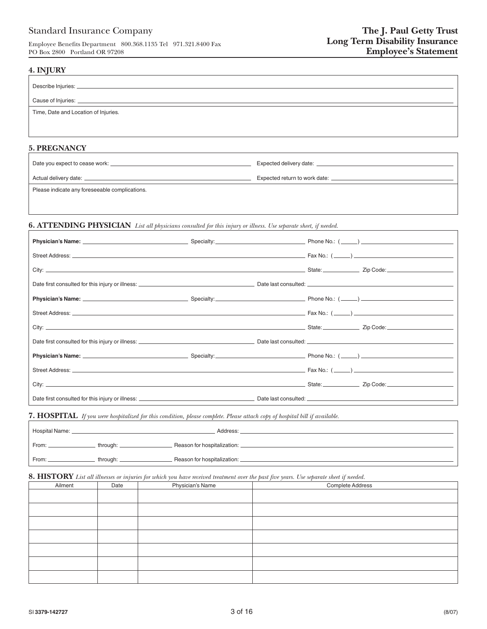# Standard Insurance Company

Employee Benefits Department 800.368.1135 Tel 971.321.8400 Fax PO Box 2800 Portland OR 97208

#### **4. INJURY**

| Describe Injuries: _                 |
|--------------------------------------|
| Cause of Injuries:                   |
| Time, Date and Location of Injuries. |
|                                      |
|                                      |

## **5. PREGNANCY**

| Date you expect to cease work: __              | Expected delivery date: _     |
|------------------------------------------------|-------------------------------|
| Actual delivery date: _                        | Expected return to work date: |
| Please indicate any foreseeable complications. |                               |

## **6. ATTENDING PHYSICIAN** *List all physicians consulted for this injury or illness. Use separate sheet, if needed.*

**7. HOSPITAL** *If you were hospitalized for this condition, please complete. Please attach copy of hospital bill if available.*

| Hospital Name: |          | Address:                    |  |
|----------------|----------|-----------------------------|--|
| From:          | through: | Reason for hospitalization: |  |
| From:          | through: | Reason for hospitalization: |  |

# **8. HISTORY** *List all illnesses or injuries for which you have received treatment over the past five years. Use separate sheet if needed.*

| Ailment | Date | Physician's Name | Complete Address |
|---------|------|------------------|------------------|
|         |      |                  |                  |
|         |      |                  |                  |
|         |      |                  |                  |
|         |      |                  |                  |
|         |      |                  |                  |
|         |      |                  |                  |
|         |      |                  |                  |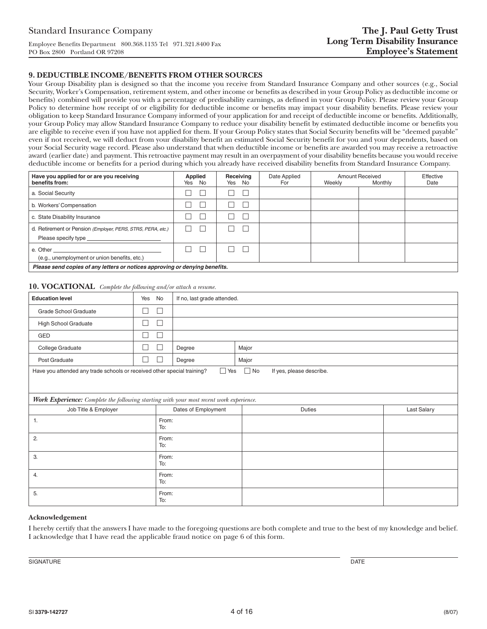#### **9. DEDUCTIBLE INCOME/BENEFITS FROM OTHER SOURCES**

Your Group Disability plan is designed so that the income you receive from Standard Insurance Company and other sources (e.g., Social Security, Worker's Compensation, retirement system, and other income or benefits as described in your Group Policy as deductible income or benefits) combined will provide you with a percentage of predisability earnings, as defined in your Group Policy. Please review your Group Policy to determine how receipt of or eligibility for deductible income or benefits may impact your disability benefits. Please review your obligation to keep Standard Insurance Company informed of your application for and receipt of deductible income or benefits. Additionally, your Group Policy may allow Standard Insurance Company to reduce your disability benefit by estimated deductible income or benefits you are eligible to receive even if you have not applied for them. If your Group Policy states that Social Security benefits will be "deemed payable" even if not received, we will deduct from your disability benefit an estimated Social Security benefit for you and your dependents, based on your Social Security wage record. Please also understand that when deductible income or benefits are awarded you may receive a retroactive award (earlier date) and payment. This retroactive payment may result in an overpayment of your disability benefits because you would receive deductible income or benefits for a period during which you already have received disability benefits from Standard Insurance Company.

| Have you applied for or are you receiving<br>benefits from:                                                     | Applied<br>Yes No                                                           | Receiving<br>Yes No | Date Applied<br>For | Weekly | <b>Amount Received</b><br>Monthly | Effective<br>Date |  |
|-----------------------------------------------------------------------------------------------------------------|-----------------------------------------------------------------------------|---------------------|---------------------|--------|-----------------------------------|-------------------|--|
| a. Social Security                                                                                              |                                                                             |                     |                     |        |                                   |                   |  |
| b. Workers' Compensation                                                                                        |                                                                             |                     |                     |        |                                   |                   |  |
| c. State Disability Insurance                                                                                   |                                                                             |                     |                     |        |                                   |                   |  |
| d. Retirement or Pension (Employer, PERS, STRS, PERA, etc.)<br>Please specify type ____________________________ |                                                                             |                     |                     |        |                                   |                   |  |
| (e.g., unemployment or union benefits, etc.)                                                                    |                                                                             | $\mathbf{L}$        |                     |        |                                   |                   |  |
|                                                                                                                 | Please send copies of any letters or notices approving or denying benefits. |                     |                     |        |                                   |                   |  |

#### **10. VOCATIONAL** *Complete the following and/or attach a resume.*

| <b>Education level</b>                                                                  | Yes<br>No                                            |                     | If no, last grade attended.           |                    |  |  |  |
|-----------------------------------------------------------------------------------------|------------------------------------------------------|---------------------|---------------------------------------|--------------------|--|--|--|
| Grade School Graduate                                                                   | П<br>$\overline{\phantom{a}}$                        |                     |                                       |                    |  |  |  |
| High School Graduate                                                                    | ٦                                                    |                     |                                       |                    |  |  |  |
| GED                                                                                     | ۰<br>×                                               |                     |                                       |                    |  |  |  |
| College Graduate                                                                        | $\overline{\phantom{a}}$<br>$\overline{\phantom{a}}$ | Degree              | Major                                 |                    |  |  |  |
| Post Graduate                                                                           | $\mathcal{L}$<br>H                                   | Degree              | Major                                 |                    |  |  |  |
| Have you attended any trade schools or received other special training?                 |                                                      | $\Box$ Yes          | $\Box$ No<br>If yes, please describe. |                    |  |  |  |
|                                                                                         |                                                      |                     |                                       |                    |  |  |  |
| Work Experience: Complete the following starting with your most recent work experience. |                                                      |                     |                                       |                    |  |  |  |
| Job Title & Employer                                                                    |                                                      | Dates of Employment | <b>Duties</b>                         | <b>Last Salary</b> |  |  |  |
| 1.                                                                                      | From:<br>To:                                         |                     |                                       |                    |  |  |  |
| 2.                                                                                      | From:<br>To:                                         |                     |                                       |                    |  |  |  |
| 3.                                                                                      | From:<br>To:                                         |                     |                                       |                    |  |  |  |
| 4.                                                                                      | From:<br>To:                                         |                     |                                       |                    |  |  |  |
| 5.                                                                                      | From:<br>To:                                         |                     |                                       |                    |  |  |  |

#### **Acknowledgement**

I hereby certify that the answers I have made to the foregoing questions are both complete and true to the best of my knowledge and belief. I acknowledge that I have read the applicable fraud notice on page 6 of this form.

SIGNATURE DATE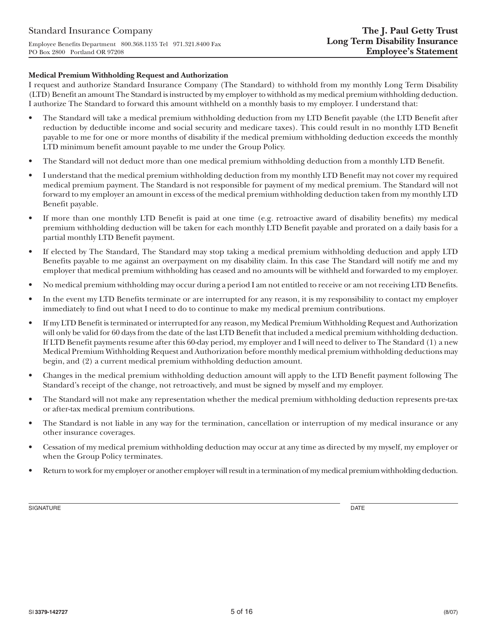### **Medical Premium Withholding Request and Authorization**

I request and authorize Standard Insurance Company (The Standard) to withhold from my monthly Long Term Disability (LTD) Benefit an amount The Standard is instructed by my employer to withhold as my medical premium withholding deduction. I authorize The Standard to forward this amount withheld on a monthly basis to my employer. I understand that:

- The Standard will take a medical premium withholding deduction from my LTD Benefit payable (the LTD Benefit after reduction by deductible income and social security and medicare taxes). This could result in no monthly LTD Benefit payable to me for one or more months of disability if the medical premium withholding deduction exceeds the monthly LTD minimum benefit amount payable to me under the Group Policy.
- The Standard will not deduct more than one medical premium withholding deduction from a monthly LTD Benefit.
- I understand that the medical premium withholding deduction from my monthly LTD Benefit may not cover my required medical premium payment. The Standard is not responsible for payment of my medical premium. The Standard will not forward to my employer an amount in excess of the medical premium withholding deduction taken from my monthly LTD Benefit payable.
- If more than one monthly LTD Benefit is paid at one time (e.g. retroactive award of disability benefits) my medical premium withholding deduction will be taken for each monthly LTD Benefit payable and prorated on a daily basis for a partial monthly LTD Benefit payment.
- If elected by The Standard, The Standard may stop taking a medical premium withholding deduction and apply LTD Benefits payable to me against an overpayment on my disability claim. In this case The Standard will notify me and my employer that medical premium withholding has ceased and no amounts will be withheld and forwarded to my employer.
- No medical premium withholding may occur during a period I am not entitled to receive or am not receiving LTD Benefits.
- In the event my LTD Benefits terminate or are interrupted for any reason, it is my responsibility to contact my employer immediately to find out what I need to do to continue to make my medical premium contributions.
- If my LTD Benefit is terminated or interrupted for any reason, my Medical Premium Withholding Request and Authorization will only be valid for 60 days from the date of the last LTD Benefit that included a medical premium withholding deduction. If LTD Benefit payments resume after this 60-day period, my employer and I will need to deliver to The Standard (1) a new Medical Premium Withholding Request and Authorization before monthly medical premium withholding deductions may begin, and (2) a current medical premium withholding deduction amount.
- Changes in the medical premium withholding deduction amount will apply to the LTD Benefit payment following The Standard's receipt of the change, not retroactively, and must be signed by myself and my employer.
- The Standard will not make any representation whether the medical premium withholding deduction represents pre-tax or after-tax medical premium contributions.
- The Standard is not liable in any way for the termination, cancellation or interruption of my medical insurance or any other insurance coverages.
- Cessation of my medical premium withholding deduction may occur at any time as directed by my myself, my employer or when the Group Policy terminates.
- Return to work for my employer or another employer will result in a termination of my medical premium withholding deduction.

SIGNATURE DATE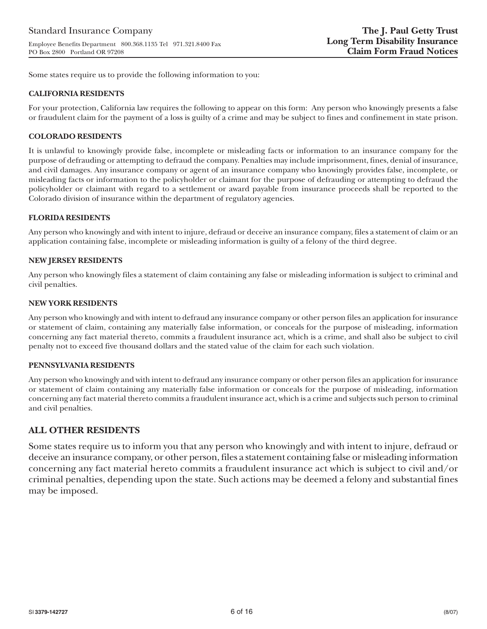Some states require us to provide the following information to you:

### **CALIFORNIA RESIDENTS**

For your protection, California law requires the following to appear on this form: Any person who knowingly presents a false or fraudulent claim for the payment of a loss is guilty of a crime and may be subject to fines and confinement in state prison.

### **COLORADO RESIDENTS**

It is unlawful to knowingly provide false, incomplete or misleading facts or information to an insurance company for the purpose of defrauding or attempting to defraud the company. Penalties may include imprisonment, fines, denial of insurance, and civil damages. Any insurance company or agent of an insurance company who knowingly provides false, incomplete, or misleading facts or information to the policyholder or claimant for the purpose of defrauding or attempting to defraud the policyholder or claimant with regard to a settlement or award payable from insurance proceeds shall be reported to the Colorado division of insurance within the department of regulatory agencies.

### **FLORIDA RESIDENTS**

Any person who knowingly and with intent to injure, defraud or deceive an insurance company, files a statement of claim or an application containing false, incomplete or misleading information is guilty of a felony of the third degree.

### **NEW JERSEY RESIDENTS**

Any person who knowingly files a statement of claim containing any false or misleading information is subject to criminal and civil penalties.

#### **NEW YORK RESIDENTS**

Any person who knowingly and with intent to defraud any insurance company or other person files an application for insurance or statement of claim, containing any materially false information, or conceals for the purpose of misleading, information concerning any fact material thereto, commits a fraudulent insurance act, which is a crime, and shall also be subject to civil penalty not to exceed five thousand dollars and the stated value of the claim for each such violation.

#### **PENNSYLVANIA RESIDENTS**

Any person who knowingly and with intent to defraud any insurance company or other person files an application for insurance or statement of claim containing any materially false information or conceals for the purpose of misleading, information concerning any fact material thereto commits a fraudulent insurance act, which is a crime and subjects such person to criminal and civil penalties.

# **ALL OTHER RESIDENTS**

Some states require us to inform you that any person who knowingly and with intent to injure, defraud or deceive an insurance company, or other person, files a statement containing false or misleading information concerning any fact material hereto commits a fraudulent insurance act which is subject to civil and/or criminal penalties, depending upon the state. Such actions may be deemed a felony and substantial fines may be imposed.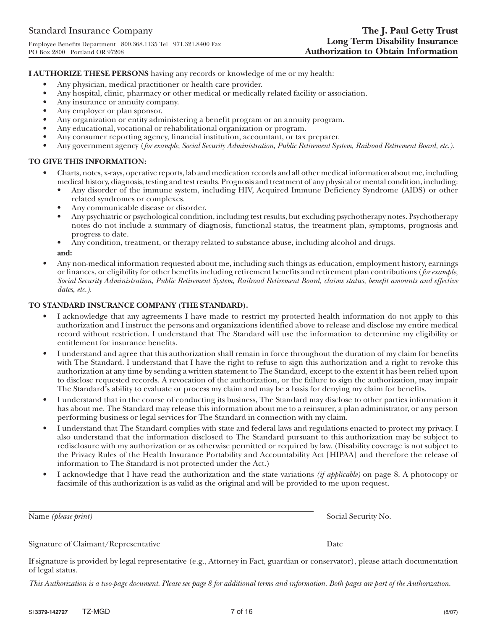**I AUTHORIZE THESE PERSONS** having any records or knowledge of me or my health:

- Any physician, medical practitioner or health care provider.
- Any hospital, clinic, pharmacy or other medical or medically related facility or association.
- Any insurance or annuity company.
- Any employer or plan sponsor.
- Any organization or entity administering a benefit program or an annuity program.
- Any educational, vocational or rehabilitational organization or program.
- Any consumer reporting agency, financial institution, accountant, or tax preparer.
- Any government agency (*for example, Social Security Administration, Public Retirement System, Railroad Retirement Board, etc.).*

## **TO GIVE THIS INFORMATION:**

- Charts, notes, x-rays, operative reports, lab and medication records and all other medical information about me, including medical history, diagnosis, testing and test results. Prognosis and treatment of any physical or mental condition, including:
	- Any disorder of the immune system, including HIV, Acquired Immune Deficiency Syndrome (AIDS) or other related syndromes or complexes.
	- Any communicable disease or disorder.
	- Any psychiatric or psychological condition, including test results, but excluding psychotherapy notes. Psychotherapy notes do not include a summary of diagnosis, functional status, the treatment plan, symptoms, prognosis and progress to date.
	- Any condition, treatment, or therapy related to substance abuse, including alcohol and drugs. **and:**
- Any non-medical information requested about me, including such things as education, employment history, earnings or finances, or eligibility for other benefits including retirement benefits and retirement plan contributions (*for example, Social Security Administration, Public Retirement System, Railroad Retirement Board, claims status, benefit amounts and effective dates, etc.).*

### **TO STANDARD INSURANCE COMPANY (THE STANDARD).**

- I acknowledge that any agreements I have made to restrict my protected health information do not apply to this authorization and I instruct the persons and organizations identified above to release and disclose my entire medical record without restriction. I understand that The Standard will use the information to determine my eligibility or entitlement for insurance benefits.
- I understand and agree that this authorization shall remain in force throughout the duration of my claim for benefits with The Standard. I understand that I have the right to refuse to sign this authorization and a right to revoke this authorization at any time by sending a written statement to The Standard, except to the extent it has been relied upon to disclose requested records. A revocation of the authorization, or the failure to sign the authorization, may impair The Standard's ability to evaluate or process my claim and may be a basis for denying my claim for benefits.
- I understand that in the course of conducting its business, The Standard may disclose to other parties information it has about me. The Standard may release this information about me to a reinsurer, a plan administrator, or any person performing business or legal services for The Standard in connection with my claim.
- I understand that The Standard complies with state and federal laws and regulations enacted to protect my privacy. I also understand that the information disclosed to The Standard pursuant to this authorization may be subject to redisclosure with my authorization or as otherwise permitted or required by law. (Disability coverage is not subject to the Privacy Rules of the Health Insurance Portability and Accountability Act [HIPAA] and therefore the release of information to The Standard is not protected under the Act.)
- I acknowledge that I have read the authorization and the state variations *(if applicable)* on page 8. A photocopy or facsimile of this authorization is as valid as the original and will be provided to me upon request.

| Name (please print)                  | Social Security No. |
|--------------------------------------|---------------------|
|                                      |                     |
| Signature of Claimant/Representative | Date                |

If signature is provided by legal representative (e.g., Attorney in Fact, guardian or conservator), please attach documentation of legal status.

*This Authorization is a two-page document. Please see page 8 for additional terms and information. Both pages are part of the Authorization.*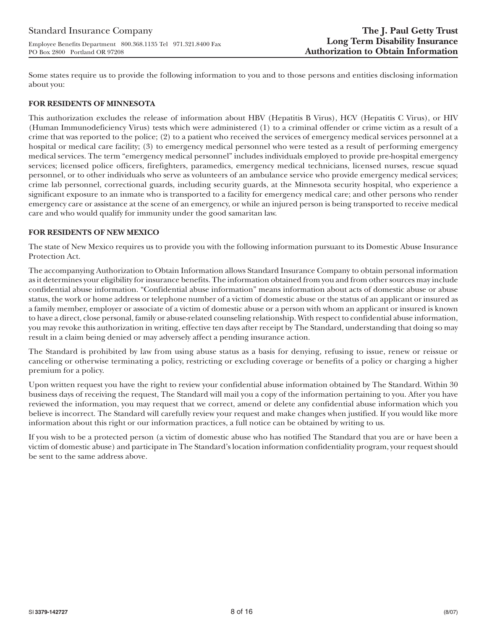Some states require us to provide the following information to you and to those persons and entities disclosing information about you:

## **FOR RESIDENTS OF MINNESOTA**

This authorization excludes the release of information about HBV (Hepatitis B Virus), HCV (Hepatitis C Virus), or HIV (Human Immunodeficiency Virus) tests which were administered (1) to a criminal offender or crime victim as a result of a crime that was reported to the police; (2) to a patient who received the services of emergency medical services personnel at a hospital or medical care facility; (3) to emergency medical personnel who were tested as a result of performing emergency medical services. The term "emergency medical personnel" includes individuals employed to provide pre-hospital emergency services; licensed police officers, firefighters, paramedics, emergency medical technicians, licensed nurses, rescue squad personnel, or to other individuals who serve as volunteers of an ambulance service who provide emergency medical services; crime lab personnel, correctional guards, including security guards, at the Minnesota security hospital, who experience a significant exposure to an inmate who is transported to a facility for emergency medical care; and other persons who render emergency care or assistance at the scene of an emergency, or while an injured person is being transported to receive medical care and who would qualify for immunity under the good samaritan law.

## **FOR RESIDENTS OF NEW MEXICO**

The state of New Mexico requires us to provide you with the following information pursuant to its Domestic Abuse Insurance Protection Act.

The accompanying Authorization to Obtain Information allows Standard Insurance Company to obtain personal information as it determines your eligibility for insurance benefits. The information obtained from you and from other sources may include confidential abuse information. "Confidential abuse information" means information about acts of domestic abuse or abuse status, the work or home address or telephone number of a victim of domestic abuse or the status of an applicant or insured as a family member, employer or associate of a victim of domestic abuse or a person with whom an applicant or insured is known to have a direct, close personal, family or abuse-related counseling relationship. With respect to confidential abuse information, you may revoke this authorization in writing, effective ten days after receipt by The Standard, understanding that doing so may result in a claim being denied or may adversely affect a pending insurance action.

The Standard is prohibited by law from using abuse status as a basis for denying, refusing to issue, renew or reissue or canceling or otherwise terminating a policy, restricting or excluding coverage or benefits of a policy or charging a higher premium for a policy.

Upon written request you have the right to review your confidential abuse information obtained by The Standard. Within 30 business days of receiving the request, The Standard will mail you a copy of the information pertaining to you. After you have reviewed the information, you may request that we correct, amend or delete any confidential abuse information which you believe is incorrect. The Standard will carefully review your request and make changes when justified. If you would like more information about this right or our information practices, a full notice can be obtained by writing to us.

If you wish to be a protected person (a victim of domestic abuse who has notified The Standard that you are or have been a victim of domestic abuse) and participate in The Standard's location information confidentiality program, your request should be sent to the same address above.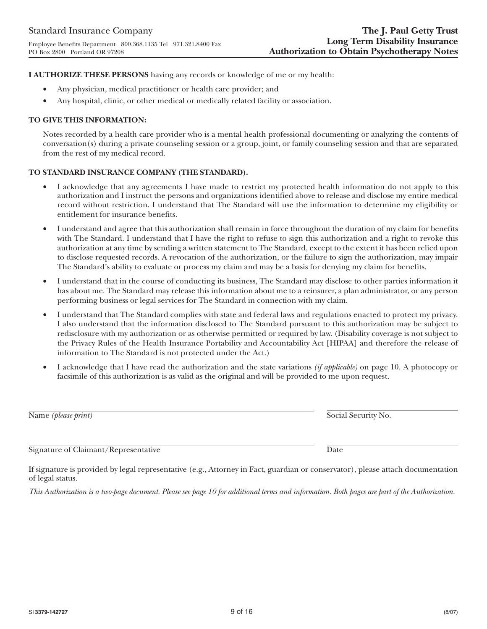**I AUTHORIZE THESE PERSONS** having any records or knowledge of me or my health:

- Any physician, medical practitioner or health care provider; and
- Any hospital, clinic, or other medical or medically related facility or association.

### **TO GIVE THIS INFORMATION:**

Notes recorded by a health care provider who is a mental health professional documenting or analyzing the contents of conversation(s) during a private counseling session or a group, joint, or family counseling session and that are separated from the rest of my medical record.

## **TO STANDARD INSURANCE COMPANY (THE STANDARD).**

- I acknowledge that any agreements I have made to restrict my protected health information do not apply to this authorization and I instruct the persons and organizations identified above to release and disclose my entire medical record without restriction. I understand that The Standard will use the information to determine my eligibility or entitlement for insurance benefits.
- I understand and agree that this authorization shall remain in force throughout the duration of my claim for benefits with The Standard. I understand that I have the right to refuse to sign this authorization and a right to revoke this authorization at any time by sending a written statement to The Standard, except to the extent it has been relied upon to disclose requested records. A revocation of the authorization, or the failure to sign the authorization, may impair The Standard's ability to evaluate or process my claim and may be a basis for denying my claim for benefits.
- I understand that in the course of conducting its business, The Standard may disclose to other parties information it has about me. The Standard may release this information about me to a reinsurer, a plan administrator, or any person performing business or legal services for The Standard in connection with my claim.
- I understand that The Standard complies with state and federal laws and regulations enacted to protect my privacy. I also understand that the information disclosed to The Standard pursuant to this authorization may be subject to redisclosure with my authorization or as otherwise permitted or required by law. (Disability coverage is not subject to the Privacy Rules of the Health Insurance Portability and Accountability Act [HIPAA] and therefore the release of information to The Standard is not protected under the Act.)
- I acknowledge that I have read the authorization and the state variations *(if applicable)* on page 10. A photocopy or facsimile of this authorization is as valid as the original and will be provided to me upon request.

Name *(please print)* Social Security No.

If signature is provided by legal representative (e.g., Attorney in Fact, guardian or conservator), please attach documentation of legal status.

*This Authorization is a two-page document. Please see page 10 for additional terms and information. Both pages are part of the Authorization.*

Signature of Claimant/Representative Date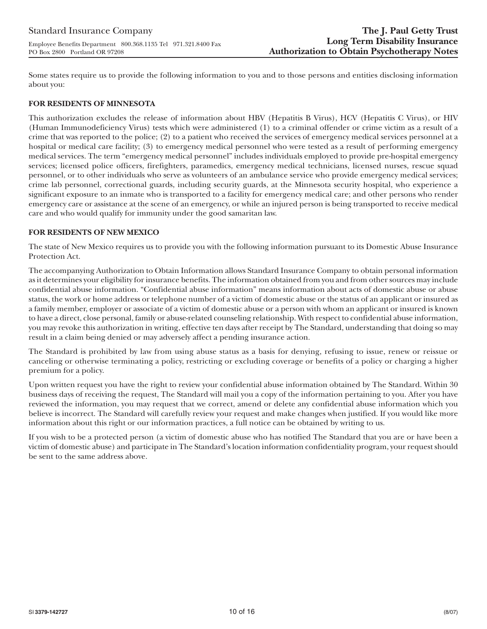Some states require us to provide the following information to you and to those persons and entities disclosing information about you:

## **FOR RESIDENTS OF MINNESOTA**

This authorization excludes the release of information about HBV (Hepatitis B Virus), HCV (Hepatitis C Virus), or HIV (Human Immunodeficiency Virus) tests which were administered (1) to a criminal offender or crime victim as a result of a crime that was reported to the police; (2) to a patient who received the services of emergency medical services personnel at a hospital or medical care facility; (3) to emergency medical personnel who were tested as a result of performing emergency medical services. The term "emergency medical personnel" includes individuals employed to provide pre-hospital emergency services; licensed police officers, firefighters, paramedics, emergency medical technicians, licensed nurses, rescue squad personnel, or to other individuals who serve as volunteers of an ambulance service who provide emergency medical services; crime lab personnel, correctional guards, including security guards, at the Minnesota security hospital, who experience a significant exposure to an inmate who is transported to a facility for emergency medical care; and other persons who render emergency care or assistance at the scene of an emergency, or while an injured person is being transported to receive medical care and who would qualify for immunity under the good samaritan law.

## **FOR RESIDENTS OF NEW MEXICO**

The state of New Mexico requires us to provide you with the following information pursuant to its Domestic Abuse Insurance Protection Act.

The accompanying Authorization to Obtain Information allows Standard Insurance Company to obtain personal information as it determines your eligibility for insurance benefits. The information obtained from you and from other sources may include confidential abuse information. "Confidential abuse information" means information about acts of domestic abuse or abuse status, the work or home address or telephone number of a victim of domestic abuse or the status of an applicant or insured as a family member, employer or associate of a victim of domestic abuse or a person with whom an applicant or insured is known to have a direct, close personal, family or abuse-related counseling relationship. With respect to confidential abuse information, you may revoke this authorization in writing, effective ten days after receipt by The Standard, understanding that doing so may result in a claim being denied or may adversely affect a pending insurance action.

The Standard is prohibited by law from using abuse status as a basis for denying, refusing to issue, renew or reissue or canceling or otherwise terminating a policy, restricting or excluding coverage or benefits of a policy or charging a higher premium for a policy.

Upon written request you have the right to review your confidential abuse information obtained by The Standard. Within 30 business days of receiving the request, The Standard will mail you a copy of the information pertaining to you. After you have reviewed the information, you may request that we correct, amend or delete any confidential abuse information which you believe is incorrect. The Standard will carefully review your request and make changes when justified. If you would like more information about this right or our information practices, a full notice can be obtained by writing to us.

If you wish to be a protected person (a victim of domestic abuse who has notified The Standard that you are or have been a victim of domestic abuse) and participate in The Standard's location information confidentiality program, your request should be sent to the same address above.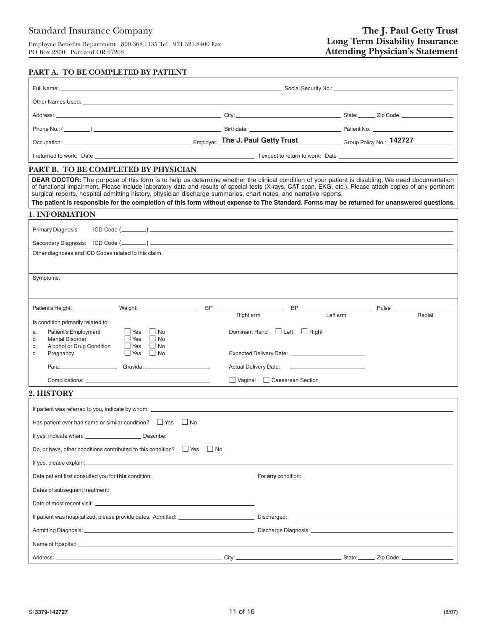## **PART A. TO BE COMPLETED BY PATIENT**

| Occupation: 2000 Cocupation: 2000 Cocupation: 2010 Cocupation: 2010 Cocupation: 2010 Cocupation: 2010 Cocupation: 2010 Cocupation: 2010 Cocupation: 2010 Cocupation: 2010 Cocupation: 2010 Cocupation: 2010 Cocupation: 2010 C                                                                                                                                                                                                                                                                                                                                                                                    |           |                                                      |          |        |
|-------------------------------------------------------------------------------------------------------------------------------------------------------------------------------------------------------------------------------------------------------------------------------------------------------------------------------------------------------------------------------------------------------------------------------------------------------------------------------------------------------------------------------------------------------------------------------------------------------------------|-----------|------------------------------------------------------|----------|--------|
|                                                                                                                                                                                                                                                                                                                                                                                                                                                                                                                                                                                                                   |           |                                                      |          |        |
| PART B. TO BE COMPLETED BY PHYSICIAN                                                                                                                                                                                                                                                                                                                                                                                                                                                                                                                                                                              |           |                                                      |          |        |
| <b>DEAR DOCTOR:</b> The purpose of this form is to help us determine whether the clinical condition of your patient is disabling. We need documentation<br>of functional impairment. Please include laboratory data and results of special tests (X-rays, CAT scan, EKG, etc.). Please attach copies of any pertinent<br>surgical reports, hospital admitting history, physician discharge summaries, chart notes, and narrative reports.<br>The patient is responsible for the completion of this form without expense to The Standard. Forms may be returned for unanswered questions.<br><b>1. INFORMATION</b> |           |                                                      |          |        |
|                                                                                                                                                                                                                                                                                                                                                                                                                                                                                                                                                                                                                   |           |                                                      |          |        |
| Primary Diagnosis:                                                                                                                                                                                                                                                                                                                                                                                                                                                                                                                                                                                                |           |                                                      |          |        |
| Other diagnoses and ICD Codes related to this claim.                                                                                                                                                                                                                                                                                                                                                                                                                                                                                                                                                              |           |                                                      |          |        |
|                                                                                                                                                                                                                                                                                                                                                                                                                                                                                                                                                                                                                   |           |                                                      |          |        |
| Symptoms.                                                                                                                                                                                                                                                                                                                                                                                                                                                                                                                                                                                                         |           |                                                      |          |        |
|                                                                                                                                                                                                                                                                                                                                                                                                                                                                                                                                                                                                                   |           |                                                      |          |        |
| Is condition primarily related to:                                                                                                                                                                                                                                                                                                                                                                                                                                                                                                                                                                                | Right arm |                                                      | Left arm | Radial |
| Patient's Employment<br>$\Box$ Yes $\Box$ No<br>a.<br><b>Mental Disorder</b><br>  Yes                                                                                                                                                                                                                                                                                                                                                                                                                                                                                                                             |           | Dominant Hand Left Right                             |          |        |
| $\Box$ No<br>b.<br>Alcohol or Drug Condition<br>l Yes<br>$\Box$ No<br>C.<br>Yes No<br>d.<br>Pregnancy                                                                                                                                                                                                                                                                                                                                                                                                                                                                                                             |           |                                                      |          |        |
|                                                                                                                                                                                                                                                                                                                                                                                                                                                                                                                                                                                                                   |           | Actual Delivery Date: <u>_______________________</u> |          |        |
|                                                                                                                                                                                                                                                                                                                                                                                                                                                                                                                                                                                                                   |           | Vaginal Caesarean Section                            |          |        |
| 2. HISTORY                                                                                                                                                                                                                                                                                                                                                                                                                                                                                                                                                                                                        |           |                                                      |          |        |
|                                                                                                                                                                                                                                                                                                                                                                                                                                                                                                                                                                                                                   |           |                                                      |          |        |
| Has patient ever had same or similar condition? $\Box$ Yes $\Box$ No                                                                                                                                                                                                                                                                                                                                                                                                                                                                                                                                              |           |                                                      |          |        |
| _ Describe:<br>If yes, indicate when:                                                                                                                                                                                                                                                                                                                                                                                                                                                                                                                                                                             |           |                                                      |          |        |
| Do, or have, other conditions contributed to this condition? Set No                                                                                                                                                                                                                                                                                                                                                                                                                                                                                                                                               |           |                                                      |          |        |
|                                                                                                                                                                                                                                                                                                                                                                                                                                                                                                                                                                                                                   |           |                                                      |          |        |
| Date patient first consulted you for this condition: example to the condition of the condition of the condition of the condition of the condition of the condition of the condition of the condition of the condition of the c                                                                                                                                                                                                                                                                                                                                                                                    |           |                                                      |          |        |
|                                                                                                                                                                                                                                                                                                                                                                                                                                                                                                                                                                                                                   |           |                                                      |          |        |
|                                                                                                                                                                                                                                                                                                                                                                                                                                                                                                                                                                                                                   |           |                                                      |          |        |
|                                                                                                                                                                                                                                                                                                                                                                                                                                                                                                                                                                                                                   |           |                                                      |          |        |
|                                                                                                                                                                                                                                                                                                                                                                                                                                                                                                                                                                                                                   |           |                                                      |          |        |
| Name of Hospital: <b>Alternative Contract Contract Contract Contract Contract Contract Contract Contract Contract Contract Contract Contract Contract Contract Contract Contract Contract Contract Contract Contract Contract Co</b>                                                                                                                                                                                                                                                                                                                                                                              |           |                                                      |          |        |
|                                                                                                                                                                                                                                                                                                                                                                                                                                                                                                                                                                                                                   |           |                                                      |          |        |
| <u>and the contract of the contract of the contract of the contract of the contract of the contract of the contract of the contract of the contract of the contract of the contract of the contract of the contract of the contr</u><br>Address: __                                                                                                                                                                                                                                                                                                                                                               |           |                                                      | State:   |        |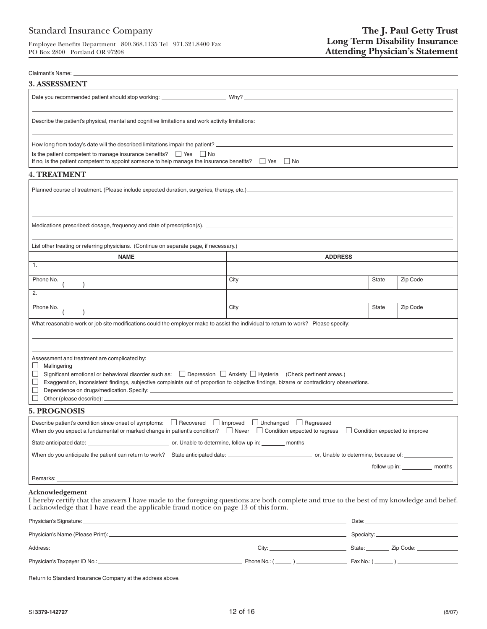Employee Benefits Department 800.368.1135 Tel 971.321.8400 Fax PO Box 2800 Portland OR 97208

| Claimant's Name: _                                                                                                                                                                                                                                                                                                                                                              |                  |              |          |
|---------------------------------------------------------------------------------------------------------------------------------------------------------------------------------------------------------------------------------------------------------------------------------------------------------------------------------------------------------------------------------|------------------|--------------|----------|
| 3. ASSESSMENT                                                                                                                                                                                                                                                                                                                                                                   |                  |              |          |
|                                                                                                                                                                                                                                                                                                                                                                                 |                  |              |          |
|                                                                                                                                                                                                                                                                                                                                                                                 |                  |              |          |
|                                                                                                                                                                                                                                                                                                                                                                                 |                  |              |          |
|                                                                                                                                                                                                                                                                                                                                                                                 |                  |              |          |
| Is the patient competent to manage insurance benefits? $\Box$ Yes $\Box$ No<br>If no, is the patient competent to appoint someone to help manage the insurance benefits? $\Box$ Yes $\Box$ No                                                                                                                                                                                   |                  |              |          |
| <b>4. TREATMENT</b>                                                                                                                                                                                                                                                                                                                                                             |                  |              |          |
|                                                                                                                                                                                                                                                                                                                                                                                 |                  |              |          |
|                                                                                                                                                                                                                                                                                                                                                                                 |                  |              |          |
|                                                                                                                                                                                                                                                                                                                                                                                 |                  |              |          |
| List other treating or referring physicians. (Continue on separate page, if necessary.)                                                                                                                                                                                                                                                                                         |                  |              |          |
| <b>NAME</b>                                                                                                                                                                                                                                                                                                                                                                     | <b>ADDRESS</b>   |              |          |
| 1.                                                                                                                                                                                                                                                                                                                                                                              |                  |              |          |
| Phone No.                                                                                                                                                                                                                                                                                                                                                                       | City             | State        | Zip Code |
| 2.                                                                                                                                                                                                                                                                                                                                                                              |                  |              |          |
| Phone No.                                                                                                                                                                                                                                                                                                                                                                       | City             | <b>State</b> | Zip Code |
| What reasonable work or job site modifications could the employer make to assist the individual to return to work? Please specify:                                                                                                                                                                                                                                              |                  |              |          |
|                                                                                                                                                                                                                                                                                                                                                                                 |                  |              |          |
|                                                                                                                                                                                                                                                                                                                                                                                 |                  |              |          |
| Assessment and treatment are complicated by:<br>Malingering<br>ப<br>Significant emotional or behavioral disorder such as: $\Box$ Depression $\Box$ Anxiety $\Box$ Hysteria (Check pertinent areas.)<br>$\Box$<br>Exaggeration, inconsistent findings, subjective complaints out of proportion to objective findings, bizarre or contradictory observations.<br>$\Box$<br>$\Box$ |                  |              |          |
| <b>5. PROGNOSIS</b>                                                                                                                                                                                                                                                                                                                                                             |                  |              |          |
| Describe patient's condition since onset of symptoms:<br>$\Box$ Recovered $\Box$ Improved $\Box$ Unchanged<br>When do you expect a fundamental or marked change in patient's condition? Never Condition expected to regress Condition expected to improve                                                                                                                       | $\Box$ Regressed |              |          |
|                                                                                                                                                                                                                                                                                                                                                                                 |                  |              |          |
|                                                                                                                                                                                                                                                                                                                                                                                 |                  |              |          |
|                                                                                                                                                                                                                                                                                                                                                                                 |                  |              |          |
| Remarks: <u>example and a series of the series of the series of the series of the series of the series of the series of the series of the series of the series of the series of the series of the series of the series of the se</u>                                                                                                                                            |                  |              |          |
| Acknowledgement<br>I hereby certify that the answers I have made to the foregoing questions are both complete and true to the best of my knowledge and belief.<br>I acknowledge that I have read the applicable fraud notice on page 13 of this form.                                                                                                                           |                  |              |          |
| Physician's Signature:                                                                                                                                                                                                                                                                                                                                                          | Date:            |              |          |

| $\frac{1}{1}$ , or order to be equivalent of $\frac{1}{1}$ |                     | ----- |                  |
|------------------------------------------------------------|---------------------|-------|------------------|
|                                                            |                     |       |                  |
| Address:                                                   | City:               |       | State: Zip Code: |
| Physician's Taxpayer ID No.: _                             | Phone No.: $(\_\_)$ |       |                  |

Return to Standard Insurance Company at the address above.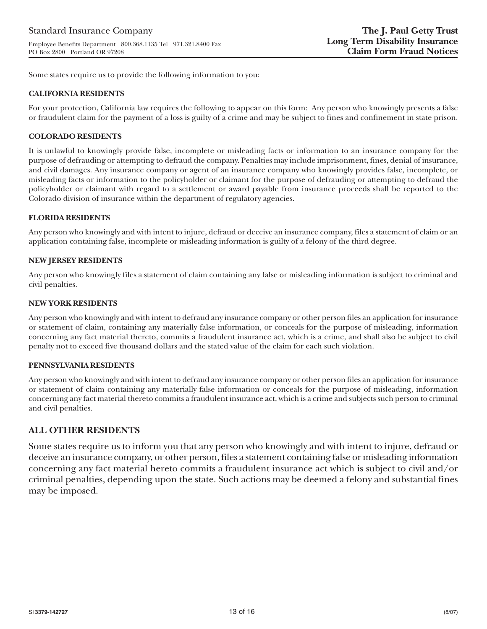Some states require us to provide the following information to you:

### **CALIFORNIA RESIDENTS**

For your protection, California law requires the following to appear on this form: Any person who knowingly presents a false or fraudulent claim for the payment of a loss is guilty of a crime and may be subject to fines and confinement in state prison.

### **COLORADO RESIDENTS**

It is unlawful to knowingly provide false, incomplete or misleading facts or information to an insurance company for the purpose of defrauding or attempting to defraud the company. Penalties may include imprisonment, fines, denial of insurance, and civil damages. Any insurance company or agent of an insurance company who knowingly provides false, incomplete, or misleading facts or information to the policyholder or claimant for the purpose of defrauding or attempting to defraud the policyholder or claimant with regard to a settlement or award payable from insurance proceeds shall be reported to the Colorado division of insurance within the department of regulatory agencies.

### **FLORIDA RESIDENTS**

Any person who knowingly and with intent to injure, defraud or deceive an insurance company, files a statement of claim or an application containing false, incomplete or misleading information is guilty of a felony of the third degree.

### **NEW JERSEY RESIDENTS**

Any person who knowingly files a statement of claim containing any false or misleading information is subject to criminal and civil penalties.

#### **NEW YORK RESIDENTS**

Any person who knowingly and with intent to defraud any insurance company or other person files an application for insurance or statement of claim, containing any materially false information, or conceals for the purpose of misleading, information concerning any fact material thereto, commits a fraudulent insurance act, which is a crime, and shall also be subject to civil penalty not to exceed five thousand dollars and the stated value of the claim for each such violation.

#### **PENNSYLVANIA RESIDENTS**

Any person who knowingly and with intent to defraud any insurance company or other person files an application for insurance or statement of claim containing any materially false information or conceals for the purpose of misleading, information concerning any fact material thereto commits a fraudulent insurance act, which is a crime and subjects such person to criminal and civil penalties.

# **ALL OTHER RESIDENTS**

Some states require us to inform you that any person who knowingly and with intent to injure, defraud or deceive an insurance company, or other person, files a statement containing false or misleading information concerning any fact material hereto commits a fraudulent insurance act which is subject to civil and/or criminal penalties, depending upon the state. Such actions may be deemed a felony and substantial fines may be imposed.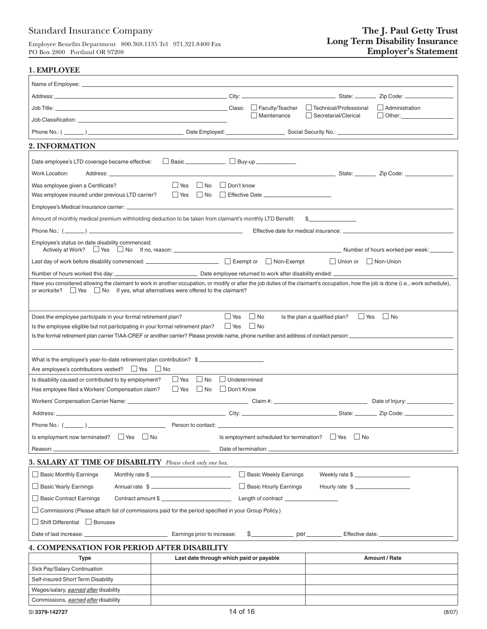# Standard Insurance Company

Employee Benefits Department 800.368.1135 Tel 971.321.8400 Fax PO Box 2800 Portland OR 97208

## **1. EMPLOYEE**

|                                                                                                                                                                                                                                                                                  |                                         |            |                                                     |                                             | $\Box$ Administration |
|----------------------------------------------------------------------------------------------------------------------------------------------------------------------------------------------------------------------------------------------------------------------------------|-----------------------------------------|------------|-----------------------------------------------------|---------------------------------------------|-----------------------|
|                                                                                                                                                                                                                                                                                  |                                         |            | Maintenance                                         | Secretarial/Clerical                        |                       |
|                                                                                                                                                                                                                                                                                  |                                         |            |                                                     |                                             |                       |
| 2. INFORMATION                                                                                                                                                                                                                                                                   |                                         |            |                                                     |                                             |                       |
| Date employee's LTD coverage became effective:                                                                                                                                                                                                                                   | Basic Buy-up Buy-up                     |            |                                                     |                                             |                       |
|                                                                                                                                                                                                                                                                                  |                                         |            |                                                     |                                             |                       |
| Work Location:                                                                                                                                                                                                                                                                   |                                         |            |                                                     |                                             |                       |
| Was employee given a Certificate?<br>Was employee insured under previous LTD carrier?                                                                                                                                                                                            | $\Box$ Yes $\Box$ No $\Box$ Don't know  |            |                                                     |                                             |                       |
|                                                                                                                                                                                                                                                                                  |                                         |            |                                                     |                                             |                       |
| Amount of monthly medical premium withholding deduction to be taken from claimant's monthly LTD Benefit: \$                                                                                                                                                                      |                                         |            |                                                     |                                             |                       |
|                                                                                                                                                                                                                                                                                  |                                         |            |                                                     |                                             |                       |
| Employee's status on date disability commenced:                                                                                                                                                                                                                                  |                                         |            |                                                     |                                             |                       |
|                                                                                                                                                                                                                                                                                  |                                         |            |                                                     |                                             |                       |
|                                                                                                                                                                                                                                                                                  |                                         |            |                                                     | $\Box$ Union or $\Box$ Non-Union            |                       |
|                                                                                                                                                                                                                                                                                  |                                         |            |                                                     |                                             |                       |
| Have you considered allowing the claimant to work in another occupation, or modify or alter the job duties of the claimant's occupation, how the job is done (i.e., work schedule),<br>or worksite? $\Box$ Yes $\Box$ No If yes, what alternatives were offered to the claimant? |                                         |            |                                                     |                                             |                       |
|                                                                                                                                                                                                                                                                                  |                                         |            |                                                     |                                             |                       |
|                                                                                                                                                                                                                                                                                  |                                         |            |                                                     |                                             |                       |
| Does the employee participate in your formal retirement plan?                                                                                                                                                                                                                    |                                         | $\Box$ Yes | $\Box$ No                                           | $\Box$ Yes<br>Is the plan a qualified plan? | $\Box$ No             |
| Is the employee eligible but not participating in your formal retirement plan?                                                                                                                                                                                                   |                                         | $\Box$ Yes | $\Box$ No                                           |                                             |                       |
|                                                                                                                                                                                                                                                                                  |                                         |            |                                                     |                                             |                       |
|                                                                                                                                                                                                                                                                                  |                                         |            |                                                     |                                             |                       |
| What is the employee's year-to-date retirement plan contribution? \$____________________<br>Are employee's contributions vested? □ Yes □ No                                                                                                                                      |                                         |            |                                                     |                                             |                       |
| Is disability caused or contributed to by employment?                                                                                                                                                                                                                            | Yes No Undetermined                     |            |                                                     |                                             |                       |
| Has employee filed a Workers' Compensation claim?                                                                                                                                                                                                                                | Yes No Don't Know                       |            |                                                     |                                             |                       |
|                                                                                                                                                                                                                                                                                  |                                         |            |                                                     |                                             |                       |
|                                                                                                                                                                                                                                                                                  |                                         |            |                                                     |                                             |                       |
|                                                                                                                                                                                                                                                                                  |                                         |            |                                                     |                                             |                       |
| Is employment now terminated? $\Box$ Yes<br>$\Box$ No                                                                                                                                                                                                                            |                                         |            | Is employment scheduled for termination? $\Box$ Yes | $\Box$ No                                   |                       |
| Reason:                                                                                                                                                                                                                                                                          |                                         |            | Date of termination:                                |                                             |                       |
| 3. SALARY AT TIME OF DISABILITY Please check only one box.                                                                                                                                                                                                                       |                                         |            |                                                     |                                             |                       |
| $\Box$ Basic Monthly Earnings                                                                                                                                                                                                                                                    | Monthly rate \$                         |            | Basic Weekly Earnings                               | Weekly rate \$                              |                       |
| $\Box$ Basic Yearly Earnings                                                                                                                                                                                                                                                     | Annual rate \$                          |            | Basic Hourly Earnings                               | Hourly rate \$                              |                       |
| Basic Contract Earnings                                                                                                                                                                                                                                                          | Contract amount \$                      |            | Length of contract _______________                  |                                             |                       |
| Commissions (Please attach list of commissions paid for the period specified in your Group Policy.)                                                                                                                                                                              |                                         |            |                                                     |                                             |                       |
| Shift Differential Bonuses                                                                                                                                                                                                                                                       |                                         |            |                                                     |                                             |                       |
| Date of last increase: ___                                                                                                                                                                                                                                                       | Earnings prior to increase:             |            |                                                     |                                             |                       |
| <b>4. COMPENSATION FOR PERIOD AFTER DISABILITY</b>                                                                                                                                                                                                                               |                                         |            |                                                     |                                             |                       |
| <b>Type</b>                                                                                                                                                                                                                                                                      | Last date through which paid or payable |            |                                                     |                                             | Amount / Rate         |
| Sick Pay/Salary Continuation                                                                                                                                                                                                                                                     |                                         |            |                                                     |                                             |                       |
| Self-insured Short Term Disability                                                                                                                                                                                                                                               |                                         |            |                                                     |                                             |                       |
| Wages/salary, earned after disability                                                                                                                                                                                                                                            |                                         |            |                                                     |                                             |                       |
| Commissions, earned after disability                                                                                                                                                                                                                                             |                                         |            |                                                     |                                             |                       |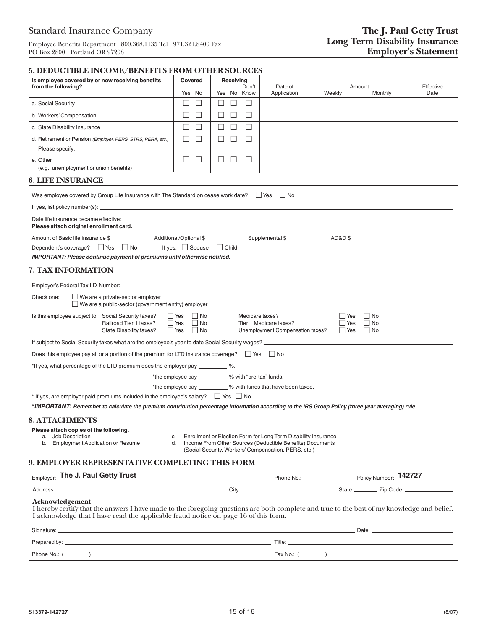Employee Benefits Department 800.368.1135 Tel 971.321.8400 Fax PO Box 2800 Portland OR 97208

| <u> 5. DEDUCITIBLE INCOME/ BENEFITS FROM OTHER SOURCES</u>                                                                                                                                                                                            |                                                                               |                                                     |                                                                                                                                                                                     |                                     |                                     |           |
|-------------------------------------------------------------------------------------------------------------------------------------------------------------------------------------------------------------------------------------------------------|-------------------------------------------------------------------------------|-----------------------------------------------------|-------------------------------------------------------------------------------------------------------------------------------------------------------------------------------------|-------------------------------------|-------------------------------------|-----------|
| Is employee covered by or now receiving benefits<br>from the following?                                                                                                                                                                               | Covered<br>Yes No                                                             | Receiving<br>Don't<br>Yes No Know                   | Date of<br>Application                                                                                                                                                              | Amount<br>Weekly<br>Monthly<br>Date |                                     | Effective |
| a. Social Security                                                                                                                                                                                                                                    | □<br>$\Box$                                                                   | $\Box$<br>$\Box$<br>$\mathbf{L}$                    |                                                                                                                                                                                     |                                     |                                     |           |
| b. Workers' Compensation                                                                                                                                                                                                                              | □<br>$\Box$                                                                   | $\Box$<br>$\Box$<br>ш                               |                                                                                                                                                                                     |                                     |                                     |           |
| c. State Disability Insurance                                                                                                                                                                                                                         | □<br>$\Box$                                                                   | $\Box$<br>□<br>$\Box$                               |                                                                                                                                                                                     |                                     |                                     |           |
| d. Retirement or Pension (Employer, PERS, STRS, PERA, etc.)                                                                                                                                                                                           | □<br>П                                                                        | П<br>$\Box$<br>$\Box$                               |                                                                                                                                                                                     |                                     |                                     |           |
|                                                                                                                                                                                                                                                       |                                                                               |                                                     |                                                                                                                                                                                     |                                     |                                     |           |
| e. Other                                                                                                                                                                                                                                              | □<br>$\Box$                                                                   | ш<br>$\Box$<br>$\Box$                               |                                                                                                                                                                                     |                                     |                                     |           |
| (e.g., unemployment or union benefits)                                                                                                                                                                                                                |                                                                               |                                                     |                                                                                                                                                                                     |                                     |                                     |           |
| <b>6. LIFE INSURANCE</b>                                                                                                                                                                                                                              |                                                                               |                                                     |                                                                                                                                                                                     |                                     |                                     |           |
| Was employee covered by Group Life Insurance with The Standard on cease work date? $\Box$ Yes $\Box$ No                                                                                                                                               |                                                                               |                                                     |                                                                                                                                                                                     |                                     |                                     |           |
|                                                                                                                                                                                                                                                       |                                                                               |                                                     |                                                                                                                                                                                     |                                     |                                     |           |
|                                                                                                                                                                                                                                                       |                                                                               |                                                     |                                                                                                                                                                                     |                                     |                                     |           |
| Please attach original enrollment card.                                                                                                                                                                                                               |                                                                               |                                                     |                                                                                                                                                                                     |                                     |                                     |           |
|                                                                                                                                                                                                                                                       |                                                                               |                                                     |                                                                                                                                                                                     |                                     |                                     |           |
| Dependent's coverage? $\Box$ Yes $\Box$ No                                                                                                                                                                                                            | If yes, $\Box$ Spouse $\Box$ Child                                            |                                                     |                                                                                                                                                                                     |                                     |                                     |           |
| <b>IMPORTANT: Please continue payment of premiums until otherwise notified.</b>                                                                                                                                                                       |                                                                               |                                                     |                                                                                                                                                                                     |                                     |                                     |           |
| 7. TAX INFORMATION                                                                                                                                                                                                                                    |                                                                               |                                                     |                                                                                                                                                                                     |                                     |                                     |           |
| Employer's Federal Tax I.D. Number: North and the state of the state of the state of the state of the state of                                                                                                                                        |                                                                               |                                                     |                                                                                                                                                                                     |                                     |                                     |           |
| We are a private-sector employer<br>Check one:<br>$\Box$ We are a public-sector (government entity) employer                                                                                                                                          |                                                                               |                                                     |                                                                                                                                                                                     |                                     |                                     |           |
| Is this employee subject to: Social Security taxes?<br>Railroad Tier 1 taxes?<br>State Disability taxes?                                                                                                                                              | $\Box$ No<br>$\Box$ Yes<br>$\Box$ Yes<br>$\Box$ No<br>$\Box$ No<br>$\Box$ Yes | Medicare taxes?                                     | Tier 1 Medicare taxes?<br>Unemployment Compensation taxes?                                                                                                                          | l Yes<br>$\Box$ Yes<br>$\Box$ Yes   | $\Box$ No<br>$\Box$ No<br>$\Box$ No |           |
| If subject to Social Security taxes what are the employee's year to date Social Security wages?                                                                                                                                                       |                                                                               |                                                     |                                                                                                                                                                                     |                                     |                                     |           |
| Does this employee pay all or a portion of the premium for LTD insurance coverage? $\Box$ Yes $\Box$ No                                                                                                                                               |                                                                               |                                                     |                                                                                                                                                                                     |                                     |                                     |           |
| *If yes, what percentage of the LTD premium does the employer pay ___________ %.                                                                                                                                                                      |                                                                               |                                                     |                                                                                                                                                                                     |                                     |                                     |           |
|                                                                                                                                                                                                                                                       |                                                                               | *the employee pay __________% with "pre-tax" funds. |                                                                                                                                                                                     |                                     |                                     |           |
|                                                                                                                                                                                                                                                       |                                                                               |                                                     | *the employee pay __________% with funds that have been taxed.                                                                                                                      |                                     |                                     |           |
| * If yes, are employer paid premiums included in the employee's salary? $\Box$ Yes $\Box$ No                                                                                                                                                          |                                                                               |                                                     |                                                                                                                                                                                     |                                     |                                     |           |
| *IMPORTANT: Remember to calculate the premium contribution percentage information according to the IRS Group Policy (three year averaging) rule.                                                                                                      |                                                                               |                                                     |                                                                                                                                                                                     |                                     |                                     |           |
| <b>8. ATTACHMENTS</b>                                                                                                                                                                                                                                 |                                                                               |                                                     |                                                                                                                                                                                     |                                     |                                     |           |
| Please attach copies of the following.<br>a. Job Description<br><b>Employment Application or Resume</b><br>b.                                                                                                                                         | C.<br>d.                                                                      |                                                     | Enrollment or Election Form for Long Term Disability Insurance<br>Income From Other Sources (Deductible Benefits) Documents<br>(Social Security, Workers' Compensation, PERS, etc.) |                                     |                                     |           |
| 9. EMPLOYER REPRESENTATIVE COMPLETING THIS FORM                                                                                                                                                                                                       |                                                                               |                                                     |                                                                                                                                                                                     |                                     |                                     |           |
| Employer: The J. Paul Getty Trust                                                                                                                                                                                                                     |                                                                               |                                                     |                                                                                                                                                                                     |                                     |                                     |           |
| Address: Zip Code: Zip Code: Zip Code: Zip Code: Zip Code: Zip Code: Zip Code: Zip Code: Zip Code: Zip Code: Zip Code: Zip Code: Zip Code: Zip Code: Zip Code: Zip Code: Zip Code: Zip Code: Zip Code: Zip Code: Zip Code: Zip                        |                                                                               |                                                     |                                                                                                                                                                                     |                                     |                                     |           |
| Acknowledgement<br>I hereby certify that the answers I have made to the foregoing questions are both complete and true to the best of my knowledge and belief.<br>I acknowledge that I have read the applicable fraud notice on page 16 of this form. |                                                                               |                                                     |                                                                                                                                                                                     |                                     |                                     |           |
|                                                                                                                                                                                                                                                       |                                                                               |                                                     |                                                                                                                                                                                     |                                     |                                     |           |
|                                                                                                                                                                                                                                                       |                                                                               |                                                     |                                                                                                                                                                                     |                                     |                                     |           |
|                                                                                                                                                                                                                                                       |                                                                               |                                                     |                                                                                                                                                                                     |                                     |                                     |           |